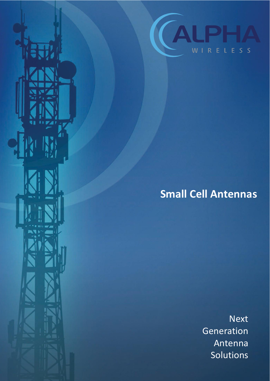

# **Small Cell Antennas**

Next Generation Antenna Solutions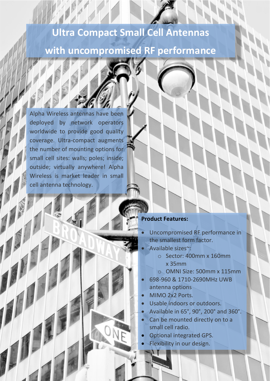## **Ultra Compact Small Cell Antennas**

## **with uncompromised RF performance**

Alpha Wireless antennas have been deployed by network operators worldwide to provide good quality coverage. Ultra-compact augments the number of mounting options for small cell sites: walls; poles; inside; outside; virtually anywhere! Alpha Wireless is market leader in small cell antenna technology.

### **Product Features:**

- Uncompromised RF performance in the smallest form factor.
- Available sizes~:
	- o Sector: 400mm x 160mm x 35mm
	- o OMNI Size: 500mm x 115mm
- x 698-960 & 1710-2690MHz UWB antenna options
- MIMO 2x2 Ports.
- Usable indoors or outdoors.
- x Available in 65°, 90°, 200° and 360°.
- Can be mounted directly on to a small cell radio.
- Optional integrated GPS.
- Flexibility in our design.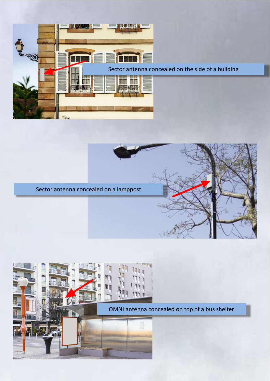